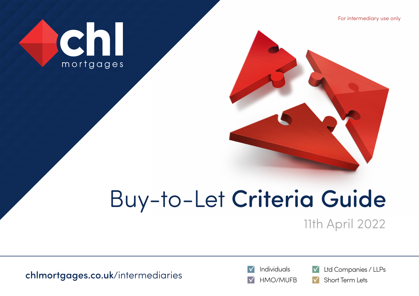For intermediary use only



# Buy-to-Let Criteria Guide

11th April 2022

[chlmortgages.co.uk](http://www.chlmortgages.co.uk)/intermediaries





Individuals **V** Ltd Companies / LLPs

HMO/MUFB **V** Short Term Lets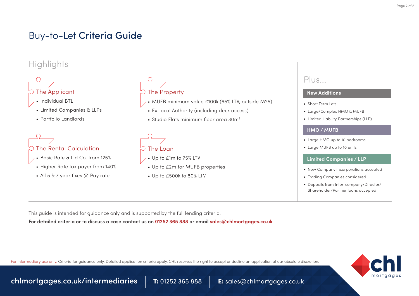## Buy-to-Let Criteria Guide

### **Highlights**



- Individual BTL
- Limited Companies & LLPs
- Portfolio Landlords

# $\bigcirc$  The Rental Calculation

- Basic Rate & Ltd Co. from 125%
- Higher Rate tax payer from 140%
- All 5 & 7 year fixes @ Pay rate



- MUFB minimum value £100k (65% LTV, outside M25)
- Ex-local Authority (including deck access)
- Studio Flats minimum floor area 30m<sup>2</sup>

# $\heartsuit$  The Loan

- Up to £1m to 75% LTV
- Up to £2m for MUFB properties
- Up to £500k to 80% LTV

### Plus...

#### **New Additions**

- Short Term Lets
- Large/Complex HMO & MUFB
- Limited Liability Partnerships (LLP)

#### **HMO / MUFB**

- Large HMO up to 10 bedrooms
- Large MUFB up to 10 units

#### **Limited Companies / LLP**

- New Company incorporations accepted
- Trading Companies considered
- Deposits from Inter-company/Director/ Shareholder/Partner loans accepted

This guide is intended for guidance only and is supported by the full lending criteria.

**For detailed criteria or to discuss a case contact us on 01252 365 888 or email sales@chlmortgages.co.uk**

For intermediary use only. Criteria for guidance only. Detailed application criteria apply. CHL reserves the right to accept or decline an application at our absolute discretion.



[chlmortgages.co.uk/intermediaries](http://www.chlmortgages.co.uk) 7: 01252 365 888 E: sales@chlmortgages.co.uk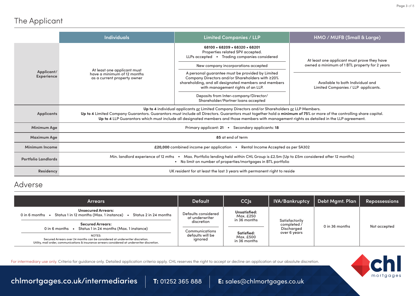### The Applicant

|                            | <b>Individuals</b>                                                                                                                                                                                                                                                                                                                                                                                                   | <b>Limited Companies / LLP</b>                                                                                                                                                                   | HMO / MUFB (Small & Large)                                              |  |
|----------------------------|----------------------------------------------------------------------------------------------------------------------------------------------------------------------------------------------------------------------------------------------------------------------------------------------------------------------------------------------------------------------------------------------------------------------|--------------------------------------------------------------------------------------------------------------------------------------------------------------------------------------------------|-------------------------------------------------------------------------|--|
|                            | At least one applicant must<br>Applicant/<br>have a minimum of 12 months<br><b>Experience</b><br>as a current property owner                                                                                                                                                                                                                                                                                         | 68100 • 68209 • 68320 • 68201<br>Properties related SPV accepted.<br>LLPs accepted • Trading companies considered                                                                                | At least one applicant must prove they have                             |  |
|                            |                                                                                                                                                                                                                                                                                                                                                                                                                      | New company incorporations accepted                                                                                                                                                              | owned a minimum of 1 BTL property for 2 years                           |  |
|                            |                                                                                                                                                                                                                                                                                                                                                                                                                      | A personal guarantee must be provided by Limited<br>Company Directors and/or Shareholders with ≥20%<br>shareholding, and all designated members and members<br>with management rights of an LLP. | Available to both Individual and<br>Limited Companies / LLP applicants. |  |
|                            |                                                                                                                                                                                                                                                                                                                                                                                                                      | Deposits from Inter-company/Director/<br>Shareholder/Partner loans accepted                                                                                                                      |                                                                         |  |
| <b>Applicants</b>          | Up to 4 individual applicants or Limited Company Directors and/or Shareholders or LLP Members.<br>Up to 4 Limited Company Guarantors. Guarantors must include all Directors. Guarantors must together hold a minimum of 75% or more of the controlling share capital.<br>Up to 4 LLP Guarantors which must include all designated members and those members with management rights as detailed in the LLP agreement. |                                                                                                                                                                                                  |                                                                         |  |
| Minimum Age                | Primary applicant: 21<br>Secondary applicants: 18                                                                                                                                                                                                                                                                                                                                                                    |                                                                                                                                                                                                  |                                                                         |  |
| <b>Maximum Age</b>         | 85 at end of term                                                                                                                                                                                                                                                                                                                                                                                                    |                                                                                                                                                                                                  |                                                                         |  |
| <b>Minimum Income</b>      | £20,000 combined income per application .<br>Rental Income Accepted as per SA302                                                                                                                                                                                                                                                                                                                                     |                                                                                                                                                                                                  |                                                                         |  |
| <b>Portfolio Landlords</b> | Max. Portfolio lending held within CHL Group is £2.5m (Up to £5m considered after 12 months)<br>Min. landlord experience of 12 mths<br>• No limit on number of properties/mortgages in BTL portfolio                                                                                                                                                                                                                 |                                                                                                                                                                                                  |                                                                         |  |
| <b>Residency</b>           | UK resident for at least the last 3 years with permanent right to reside                                                                                                                                                                                                                                                                                                                                             |                                                                                                                                                                                                  |                                                                         |  |

#### Adverse

| <b>Arrears</b>                                                                                                                                                                         | <b>Default</b>                        | CC s                                      | <b>IVA/Bankruptcy</b>                       | Debt Mgmt. Plan | <b>Repossessions</b> |
|----------------------------------------------------------------------------------------------------------------------------------------------------------------------------------------|---------------------------------------|-------------------------------------------|---------------------------------------------|-----------------|----------------------|
| <b>Unsecured Arrears:</b><br>Status 1 in 12 months (Max. 1 instance)<br>Status 2 in 24 months<br>0 in 6 months                                                                         | Defaults considered<br>at underwriter | Unsatisfied:<br>Max. £250<br>in 36 months |                                             |                 |                      |
| <b>Secured Arrears:</b><br>Status 1 in 24 months (Max. 1 instance)<br>0 in 6 months                                                                                                    | discretion<br>Communications          |                                           | Satisfactorily<br>completed /<br>Discharged | 0 in 36 months  | Not accepted         |
| NOTES:<br>Secured Arrears over 24 months can be considered at underwriter discretion.<br>Utility, mail order, communications & insurance arrears considered at underwriter discretion. | defaults will be<br>ignored           | Satisfied:<br>Max. £500<br>in 36 months   | over 6 years                                |                 |                      |

For intermediary use only. Criteria for guidance only. Detailed application criteria apply. CHL reserves the right to accept or decline an application at our absolute discretion.



[chlmortgages.co.uk/intermediaries](http://www.chlmortgages.co.uk) 1: 01252 365 888 E: sales@chlmortgages.co.uk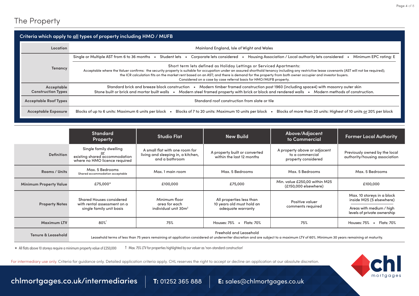| Criteria which apply to <u>all</u> types of property including HMO / MUFB |                                                                                                                                                                                                                                                                                                                                                                                                                                                                                                 |  |
|---------------------------------------------------------------------------|-------------------------------------------------------------------------------------------------------------------------------------------------------------------------------------------------------------------------------------------------------------------------------------------------------------------------------------------------------------------------------------------------------------------------------------------------------------------------------------------------|--|
| Location                                                                  | Mainland England, Isle of Wight and Wales                                                                                                                                                                                                                                                                                                                                                                                                                                                       |  |
|                                                                           | Single or Multiple AST from 6 to 36 months<br>Housing Association / Local authority lets considered<br>Minimum EPC rating: E<br>Student lets<br>Corporate lets considered<br>$\bullet$<br>$\bullet$<br>$\bullet$                                                                                                                                                                                                                                                                                |  |
| <b>Tenancy</b>                                                            | Short term lets defined as Holiday Lettings or Serviced Apartments:<br>Acceptable where the Valuer confirms: the security property is suitable for occupation under an assured shorthold tenancy including any restrictive lease covenants (AST will not be required);<br>the ICR calculation fits on the market rent based on an AST; and there is demand for the property from both owner occupier and investor buyers.<br>Considered on a case by case referral basis for HMO/MUFB property. |  |
| Acceptable<br><b>Construction Types</b>                                   | Standard brick and breeze block construction • Modern timber framed construction post 1960 (including space4) with masonry outer skin<br>Modern steel framed property with brick or block and rendered walls • Modern methods of construction.<br>Stone built or brick and mortar built walls •                                                                                                                                                                                                 |  |
| <b>Acceptable Roof Types</b>                                              | Standard roof construction from slate or tile                                                                                                                                                                                                                                                                                                                                                                                                                                                   |  |
| <b>Acceptable Exposure</b>                                                | Blocks of more than 20 units: Highest of 10 units or 20% per block<br>Blocks of up to 6 units: Maximum 6 units per block<br>Blocks of 7 to 20 units: Maximum 10 units per block                                                                                                                                                                                                                                                                                                                 |  |

|                               | <b>Standard</b><br><b>Property</b>                                                       | <b>Studio Flat</b>                                                                     | <b>New Build</b>                                                                                                                                                                                               | Above/Adjacent<br>to Commercial                                        | <b>Former Local Authority</b>                                                                                     |
|-------------------------------|------------------------------------------------------------------------------------------|----------------------------------------------------------------------------------------|----------------------------------------------------------------------------------------------------------------------------------------------------------------------------------------------------------------|------------------------------------------------------------------------|-------------------------------------------------------------------------------------------------------------------|
| <b>Definition</b>             | Single family dwelling<br>existing shared accommodation<br>where no HMO licence required | A small flat with one room for<br>living and sleeping in, a kitchen,<br>and a bathroom | A property built or converted<br>within the last 12 months                                                                                                                                                     | A property above or adjacent<br>to a commercial<br>property considered | Previously owned by the local<br>authority/housing association                                                    |
| Rooms / Units                 | Max. 5 Bedrooms<br>Shared accommodation acceptable                                       | Max. 1 main room                                                                       | Max. 5 Bedrooms                                                                                                                                                                                                | Max. 5 Bedrooms                                                        | Max. 5 Bedrooms                                                                                                   |
| <b>Minimum Property Value</b> | £75,000*                                                                                 | £100,000                                                                               | £75,000                                                                                                                                                                                                        | Min. value £250,00 within M25<br>(£150,000 elsewhere)                  | £100,000                                                                                                          |
| <b>Property Notes</b>         | Shared Houses considered<br>with rental assessment on a<br>single family unit basis      | Minimum floor<br>area for each<br>individual unit 30m <sup>2</sup>                     | All properties less than<br>10 years old must hold an<br>adequate warranty                                                                                                                                     | Positive valuer<br>comments required                                   | Max. 10 storeys in a block<br>inside M25 (5 elsewhere)<br>Areas with medium / high<br>levels of private ownership |
| <b>Maximum LTV</b>            | 80%                                                                                      | 75%                                                                                    | Houses: 75% • Flats: 70%                                                                                                                                                                                       | 75%                                                                    | $\bullet$ Flats: 70%<br>Houses: 75%                                                                               |
| <b>Tenure &amp; Leasehold</b> |                                                                                          |                                                                                        | Freehold and Leasehold<br>Leasehold terms of less than 75 years remaining at application considered at underwriter discretion and are subject to a maximum LTV of 60%. Minimum 30 years remaining at maturity. |                                                                        |                                                                                                                   |

All flats above 10 storeys require a minimum property value of £250,000 † Max. 75% LTV for properties highlighted by our valuer as 'non-standard construction'

For intermediary use only. Criteria for guidance only. Detailed application criteria apply. CHL reserves the right to accept or decline an application at our absolute discretion.



[chlmortgages.co.uk/intermediaries](http://www.chlmortgages.co.uk) 1: 01252 365 888 E: sales@chlmortgages.co.uk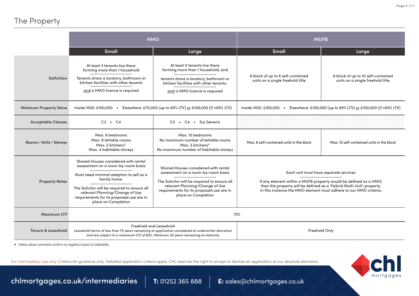### The Property

|                               | <b>HMO</b>                                                                                                                                                                                                                                                                                                                                                                                                                                                                                                                      |                                                                                                                                                                                         | <b>MUFB</b>                                                                                                                                                                                                                                            |                                                                        |  |
|-------------------------------|---------------------------------------------------------------------------------------------------------------------------------------------------------------------------------------------------------------------------------------------------------------------------------------------------------------------------------------------------------------------------------------------------------------------------------------------------------------------------------------------------------------------------------|-----------------------------------------------------------------------------------------------------------------------------------------------------------------------------------------|--------------------------------------------------------------------------------------------------------------------------------------------------------------------------------------------------------------------------------------------------------|------------------------------------------------------------------------|--|
|                               | <b>Small</b>                                                                                                                                                                                                                                                                                                                                                                                                                                                                                                                    | Large                                                                                                                                                                                   | Small                                                                                                                                                                                                                                                  | Large                                                                  |  |
| <b>Definition</b>             | At least 3 tenants live there<br>forming more than 1 household<br>Tenants share a lavatory, bathroom or<br>kitchen facilities with other tenants<br>and a HMO licence is required                                                                                                                                                                                                                                                                                                                                               | At least 5 tenants live there<br>forming more than 1 household, and<br>tenants share a lavatory, bathroom or<br>kitchen facilities with other tenants.<br>and a HMO licence is required | A block of up to 6 self-contained<br>units on a single freehold title                                                                                                                                                                                  | A block of up to 10 self-contained<br>units on a single freehold title |  |
| <b>Minimum Property Value</b> | Inside M25: £150,000 •<br>Elsewhere: £75,000 (up to 65% LTV) or £100,000 (if >65% LTV)                                                                                                                                                                                                                                                                                                                                                                                                                                          |                                                                                                                                                                                         | Inside M25: £150,000 .<br>Elsewhere: £100,000 (up to 65% LTV) or £150,000 (if >65% LTV)                                                                                                                                                                |                                                                        |  |
| <b>Acceptable Classes</b>     | $C3 \cdot C4$<br>C3 • C4 • Sui Generis                                                                                                                                                                                                                                                                                                                                                                                                                                                                                          |                                                                                                                                                                                         |                                                                                                                                                                                                                                                        |                                                                        |  |
| Rooms / Units / Storeys       | Max. 6 bedrooms<br>Max. 8 lettable rooms<br>Max. 2 kitchens*<br>Max. 4 habitable storeys                                                                                                                                                                                                                                                                                                                                                                                                                                        | Max. 10 bedrooms<br>No maximum number of lettable rooms<br>Max. 2 kitchens*<br>No maximum number of habitable storeys                                                                   | Max. 6 self-contained units in the block                                                                                                                                                                                                               | Max. 10 self-contained units in the block                              |  |
| <b>Property Notes</b>         | Shared Houses considered with rental<br>assessment on a room-by-room basis<br>Shared Houses considered with rental<br>assessment on a room-by-room basis<br>Must need minimal adaption to sell as a<br>family home.<br>The Solicitor will be required to ensure all<br>relevant Planning/Change of Use<br>The Solicitor will be required to ensure all<br>requirements for its proposed use are in<br>relevant Planning/Change of Use<br>place on Completion<br>requirements for its proposed use are in<br>place on Completion |                                                                                                                                                                                         | Each unit must have separate services<br>If any element within a MUFB property would be defined as a HMO,<br>then the property will be defined as a 'Hybrid Multi-Unit' property.<br>In this instance the HMO element must adhere to our HMO criteria. |                                                                        |  |
| <b>Maximum LTV</b>            | 75%                                                                                                                                                                                                                                                                                                                                                                                                                                                                                                                             |                                                                                                                                                                                         |                                                                                                                                                                                                                                                        |                                                                        |  |
| <b>Tenure &amp; Leasehold</b> | Freehold and Leasehold<br>Leasehold terms of less than 75 years remaining at application considered at underwriter discretion<br>and are subject to a maximum LTV of 60%. Minimum 30 years remaining at maturity.                                                                                                                                                                                                                                                                                                               |                                                                                                                                                                                         | Freehold Only                                                                                                                                                                                                                                          |                                                                        |  |

\* Unless valuer comments confirm no negative impact on saleability

For intermediary use only. Criteria for guidance only. Detailed application criteria apply. CHL reserves the right to accept or decline an application at our absolute discretion.



[chlmortgages.co.uk/intermediaries](http://www.chlmortgages.co.uk) 1: 01252 365 888 E: sales@chlmortgages.co.uk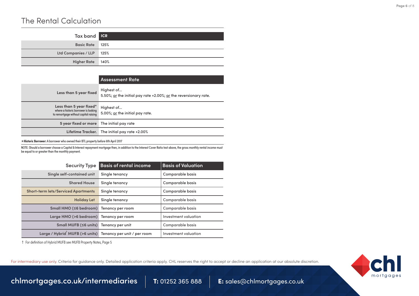#### The Rental Calculation

| Tax band <b>ICR</b>      |      |
|--------------------------|------|
| Basic Rate 125%          |      |
| Ltd Companies / LLP 125% |      |
| <b>Higher Rate</b>       | 140% |

|                                                                                                          | <b>Assessment Rate</b>                                                         |
|----------------------------------------------------------------------------------------------------------|--------------------------------------------------------------------------------|
| Less than 5 year fixed                                                                                   | Highest of<br>5.50%; or the initial pay rate +2.00%; or the reversionary rate. |
| Less than 5 year fixed*<br>where a historic borrower is looking<br>to remortgage without capital raising | Highest of<br>5.00%; or the initial pay rate.                                  |
| 5 year fixed or more The initial pay rate                                                                |                                                                                |
|                                                                                                          | Lifetime Tracker. The initial pay rate +2.00%                                  |

\***Historic Borrower:** A borrower who owned their BTL property before 6th April 2017

NOTE: Should a borrower choose a Capital & Interest repayment mortgage then, in addition to the Interest Cover Ratio test above, the gross monthly rental income must be equal to or greater than the monthly payment.

| <b>Security Type</b>                                                    | <b>Basis of rental income</b> | <b>Basis of Valuation</b> |
|-------------------------------------------------------------------------|-------------------------------|---------------------------|
| Single self-contained unit                                              | Single tenancy                | <b>Comparable basis</b>   |
| <b>Shared House</b>                                                     | Single tenancy                | Comparable basis          |
| <b>Short-term lets/Serviced Apartments</b>                              | Single tenancy                | Comparable basis          |
| <b>Holiday Let</b>                                                      | Single tenancy                | Comparable basis          |
| Small HMO (≤6 bedroom)                                                  | Tenancy per room              | Comparable basis          |
| Large HMO (>6 bedroom) Tenancy per room                                 |                               | Investment valuation      |
| Small MUFB (≤6 units) Tenancy per unit                                  |                               | Comparable basis          |
| Large / Hybrid <sup>†</sup> MUFB (>6 units) Tenancy per unit / per room |                               | Investment valuation      |

† For definition of Hybrid MUFB see MUFB Property Notes, Page 5

For intermediary use only. Criteria for guidance only. Detailed application criteria apply. CHL reserves the right to accept or decline an application at our absolute discretion.



[chlmortgages.co.uk/intermediaries](http://www.chlmortgages.co.uk) | T: 01252 365 888 | E: sales@chlmortgages.co.uk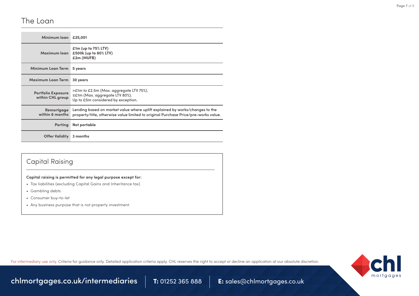#### The Loan

| Minimum loan £25,001                          |                                                                                                                                                                     |
|-----------------------------------------------|---------------------------------------------------------------------------------------------------------------------------------------------------------------------|
| Maximum loan                                  | $£1m$ (up to $75%$ LTV)<br>£500k (up to 80% LTV)<br>£2m (MUFB)                                                                                                      |
| Minimum Loan Term                             | 5 years                                                                                                                                                             |
| Maximum Loan Term                             | 30 years                                                                                                                                                            |
| <b>Portfolio Exposure</b><br>within CHL group | >£1m to £2.5m (Max. aggregate LTV 75%).<br>$\leq$ £1m (Max. aggregate LTV 80%).<br>Up to £5m considered by exception.                                               |
| Remortgage<br>within 6 months                 | Lending based on market value where uplift explained by works/changes to the<br>property/title, otherwise value limited to original Purchase Price/pre-works value. |
| <b>Porting</b>                                | Not portable                                                                                                                                                        |
| Offer Validity                                | 3 months                                                                                                                                                            |

#### Capital Raising

#### **Capital raising is permitted for any legal purpose except for:**

- Tax liabilities (excluding Capital Gains and Inheritance tax)
- Gambling debts
- Consumer buy-to-let
- Any business purpose that is not property investment.

For intermediary use only. Criteria for quidance only. Detailed application criteria apply. CHL reserves the right to accept or decline an application at our absolute discretion.